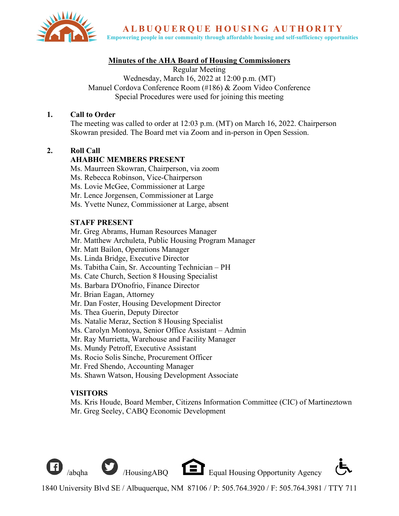

**ALBUOUEROUE HOUSING AUTHORITY** 

**Empowering people in our community through affordable housing and self-sufficiency opportunities**

# **Minutes of the AHA Board of Housing Commissioners**

Regular Meeting Wednesday, March 16, 2022 at 12:00 p.m. (MT) Manuel Cordova Conference Room (#186) & Zoom Video Conference Special Procedures were used for joining this meeting

#### **1. Call to Order**

The meeting was called to order at 12:03 p.m. (MT) on March 16, 2022. Chairperson Skowran presided. The Board met via Zoom and in-person in Open Session.

## **2. Roll Call**

#### **AHABHC MEMBERS PRESENT**

Ms. Maurreen Skowran, Chairperson, via zoom

Ms. Rebecca Robinson, Vice-Chairperson

Ms. Lovie McGee, Commissioner at Large

Mr. Lence Jorgensen, Commissioner at Large

Ms. Yvette Nunez, Commissioner at Large, absent

#### **STAFF PRESENT**

Mr. Greg Abrams, Human Resources Manager Mr. Matthew Archuleta, Public Housing Program Manager Mr. Matt Bailon, Operations Manager Ms. Linda Bridge, Executive Director Ms. Tabitha Cain, Sr. Accounting Technician – PH Ms. Cate Church, Section 8 Housing Specialist Ms. Barbara D'Onofrio, Finance Director Mr. Brian Eagan, Attorney Mr. Dan Foster, Housing Development Director Ms. Thea Guerin, Deputy Director Ms. Natalie Meraz, Section 8 Housing Specialist Ms. Carolyn Montoya, Senior Office Assistant – Admin Mr. Ray Murrietta, Warehouse and Facility Manager Ms. Mundy Petroff, Executive Assistant Ms. Rocio Solis Sinche, Procurement Officer Mr. Fred Shendo, Accounting Manager Ms. Shawn Watson, Housing Development Associate

#### **VISITORS**

Ms. Kris Houde, Board Member, Citizens Information Committee (CIC) of Martineztown Mr. Greg Seeley, CABQ Economic Development





1840 University Blvd SE / Albuquerque, NM 87106 / P: 505.764.3920 / F: 505.764.3981 / TTY 711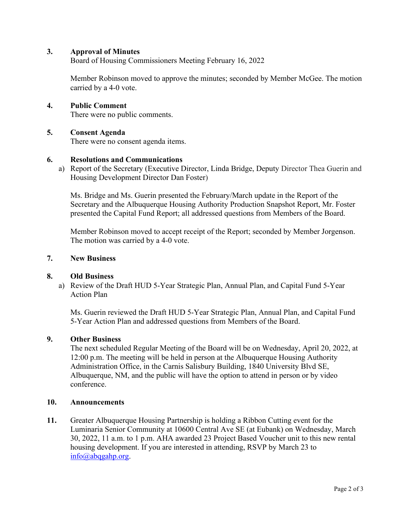## **3. Approval of Minutes**

Board of Housing Commissioners Meeting February 16, 2022

Member Robinson moved to approve the minutes; seconded by Member McGee. The motion carried by a 4-0 vote.

## **4. Public Comment**

There were no public comments.

#### **5. Consent Agenda**

There were no consent agenda items.

#### **6. Resolutions and Communications**

a) Report of the Secretary (Executive Director, Linda Bridge, Deputy Director Thea Guerin and Housing Development Director Dan Foster)

Ms. Bridge and Ms. Guerin presented the February/March update in the Report of the Secretary and the Albuquerque Housing Authority Production Snapshot Report, Mr. Foster presented the Capital Fund Report; all addressed questions from Members of the Board.

Member Robinson moved to accept receipt of the Report; seconded by Member Jorgenson. The motion was carried by a 4-0 vote.

#### **7. New Business**

#### **8. Old Business**

a) Review of the Draft HUD 5-Year Strategic Plan, Annual Plan, and Capital Fund 5-Year Action Plan

Ms. Guerin reviewed the Draft HUD 5-Year Strategic Plan, Annual Plan, and Capital Fund 5-Year Action Plan and addressed questions from Members of the Board.

#### **9. Other Business**

The next scheduled Regular Meeting of the Board will be on Wednesday, April 20, 2022, at 12:00 p.m. The meeting will be held in person at the Albuquerque Housing Authority Administration Office, in the Carnis Salisbury Building, 1840 University Blvd SE, Albuquerque, NM, and the public will have the option to attend in person or by video conference.

## **10. Announcements**

**11.** Greater Albuquerque Housing Partnership is holding a Ribbon Cutting event for the Luminaria Senior Community at 10600 Central Ave SE (at Eubank) on Wednesday, March 30, 2022, 11 a.m. to 1 p.m. AHA awarded 23 Project Based Voucher unit to this new rental housing development. If you are interested in attending, RSVP by March 23 to [info@abqgahp.org.](mailto:info@abqgahp.org)